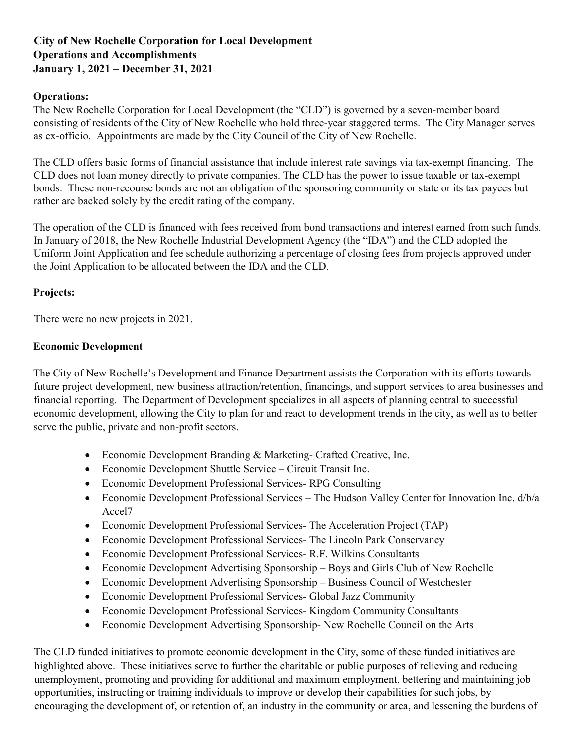## **City of New Rochelle Corporation for Local Development Operations and Accomplishments January 1, 2021 – December 31, 2021**

## **Operations:**

The New Rochelle Corporation for Local Development (the "CLD") is governed by a seven-member board consisting of residents of the City of New Rochelle who hold three-year staggered terms. The City Manager serves as ex-officio. Appointments are made by the City Council of the City of New Rochelle.

The CLD offers basic forms of financial assistance that include interest rate savings via tax-exempt financing. The CLD does not loan money directly to private companies. The CLD has the power to issue taxable or tax-exempt bonds. These non-recourse bonds are not an obligation of the sponsoring community or state or its tax payees but rather are backed solely by the credit rating of the company.

The operation of the CLD is financed with fees received from bond transactions and interest earned from such funds. In January of 2018, the New Rochelle Industrial Development Agency (the "IDA") and the CLD adopted the Uniform Joint Application and fee schedule authorizing a percentage of closing fees from projects approved under the Joint Application to be allocated between the IDA and the CLD.

## **Projects:**

There were no new projects in 2021.

## **Economic Development**

The City of New Rochelle's Development and Finance Department assists the Corporation with its efforts towards future project development, new business attraction/retention, financings, and support services to area businesses and financial reporting. The Department of Development specializes in all aspects of planning central to successful economic development, allowing the City to plan for and react to development trends in the city, as well as to better serve the public, private and non-profit sectors.

- Economic Development Branding & Marketing- Crafted Creative, Inc.
- Economic Development Shuttle Service Circuit Transit Inc.
- Economic Development Professional Services- RPG Consulting
- Economic Development Professional Services The Hudson Valley Center for Innovation Inc. d/b/a Accel7
- Economic Development Professional Services- The Acceleration Project (TAP)
- Economic Development Professional Services- The Lincoln Park Conservancy
- Economic Development Professional Services- R.F. Wilkins Consultants
- Economic Development Advertising Sponsorship Boys and Girls Club of New Rochelle
- Economic Development Advertising Sponsorship Business Council of Westchester
- Economic Development Professional Services- Global Jazz Community
- Economic Development Professional Services- Kingdom Community Consultants
- Economic Development Advertising Sponsorship- New Rochelle Council on the Arts

The CLD funded initiatives to promote economic development in the City, some of these funded initiatives are highlighted above. These initiatives serve to further the charitable or public purposes of relieving and reducing unemployment, promoting and providing for additional and maximum employment, bettering and maintaining job opportunities, instructing or training individuals to improve or develop their capabilities for such jobs, by encouraging the development of, or retention of, an industry in the community or area, and lessening the burdens of